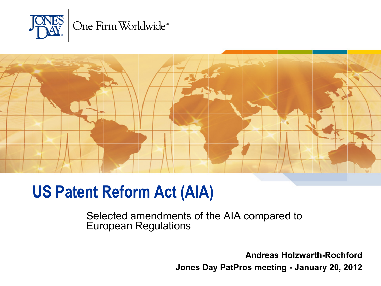



### **US Patent Reform Act (AIA)**

Selected amendments of the AIA compared to European Regulations

> **Andreas Holzwarth-Rochford Jones Day PatPros meeting - January 20, 2012**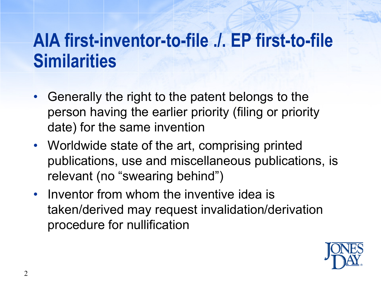# **AIA first-inventor-to-file ./. EP first-to-file Similarities**

- Generally the right to the patent belongs to the person having the earlier priority (filing or priority date) for the same invention
- Worldwide state of the art, comprising printed publications, use and miscellaneous publications, is relevant (no "swearing behind")
- Inventor from whom the inventive idea is taken/derived may request invalidation/derivation procedure for nullification

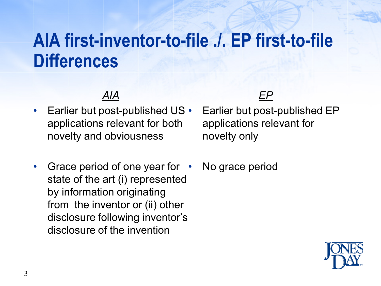# **AIA first-inventor-to-file ./. EP first-to-file Differences**

#### *AIA*

- Earlier but post-published US applications relevant for both novelty and obviousness
- Grace period of one year for state of the art (i) represented by information originating from the inventor or (ii) other disclosure following inventor's disclosure of the invention

#### *EP*

- Earlier but post-published EP applications relevant for novelty only
- No grace period

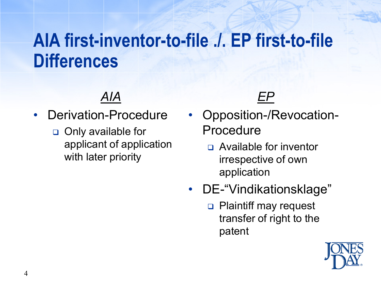# **AIA first-inventor-to-file ./. EP first-to-file Differences**

- Derivation-Procedure
	- □ Only available for applicant of application with later priority

*EP*

- Opposition-/Revocation-Procedure
	- Available for inventor irrespective of own application
- DE-"Vindikationsklage"
	- **Plaintiff may request** transfer of right to the patent

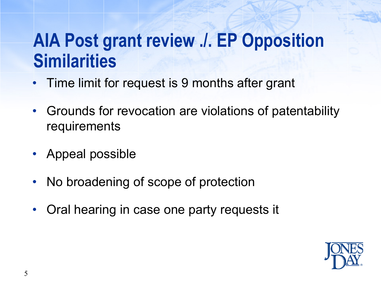# **AIA Post grant review ./. EP Opposition Similarities**

- Time limit for request is 9 months after grant
- Grounds for revocation are violations of patentability requirements
- Appeal possible
- No broadening of scope of protection
- Oral hearing in case one party requests it

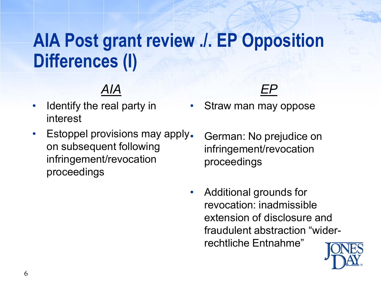# **AIA Post grant review ./. EP Opposition Differences (I)**

- Identify the real party in interest
- Estoppel provisions may apply. on subsequent following infringement/revocation proceedings



- Straw man may oppose
	- German: No prejudice on infringement/revocation proceedings
- Additional grounds for revocation: inadmissible extension of disclosure and fraudulent abstraction "widerrechtliche Entnahme"

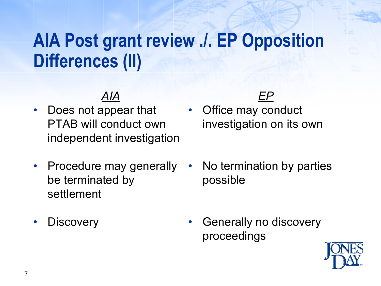# **AIA Post grant review ./. EP Opposition Differences (II)**

- Does not appear that PTAB will conduct own independent investigation
- Procedure may generally be terminated by settlement
- **Discovery**

*EP*

- Office may conduct investigation on its own
- No termination by parties possible
- Generally no discovery proceedings

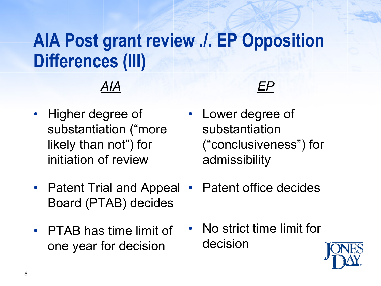# **AIA Post grant review ./. EP Opposition Differences (III)**

- Higher degree of substantiation ("more likely than not") for initiation of review
- Patent Trial and Appeal Board (PTAB) decides
- PTAB has time limit of one year for decision



- Lower degree of substantiation ("conclusiveness") for admissibility
	- Patent office decides
- No strict time limit for decision

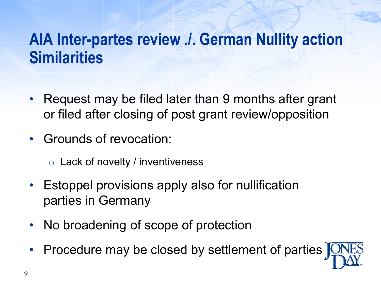## **AIA Inter-partes review ./. German Nullity action Similarities**

- Request may be filed later than 9 months after grant or filed after closing of post grant review/opposition
- Grounds of revocation:
	- $\circ$  Lack of novelty / inventiveness
- Estoppel provisions apply also for nullification parties in Germany
- No broadening of scope of protection
- Procedure may be closed by settlement of parties |

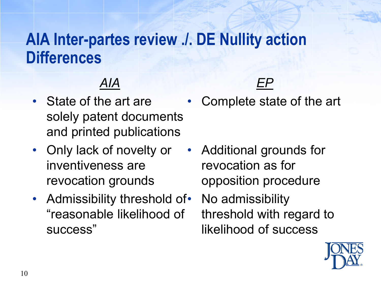### **AIA Inter-partes review ./. DE Nullity action Differences**

### *AIA*

- State of the art are solely patent documents and printed publications
- Only lack of novelty or inventiveness are revocation grounds
- Admissibility threshold of "reasonable likelihood of success"

• Complete state of the art

*EP*

- Additional grounds for revocation as for opposition procedure
	- No admissibility threshold with regard to likelihood of success

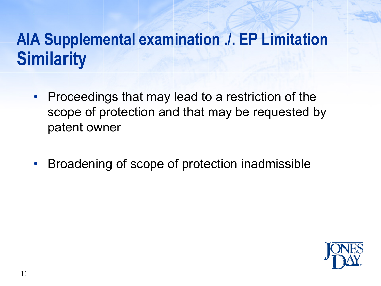# **AIA Supplemental examination ./. EP Limitation Similarity**

- Proceedings that may lead to a restriction of the scope of protection and that may be requested by patent owner
- Broadening of scope of protection inadmissible

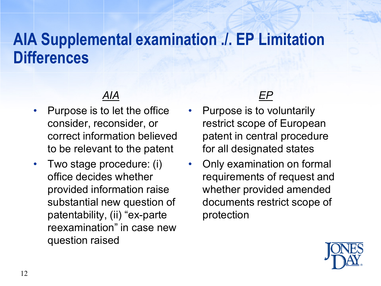### **AIA Supplemental examination ./. EP Limitation Differences**

- Purpose is to let the office consider, reconsider, or correct information believed to be relevant to the patent
- Two stage procedure: (i) office decides whether provided information raise substantial new question of patentability, (ii) "ex-parte reexamination" in case new question raised



- Purpose is to voluntarily restrict scope of European patent in central procedure for all designated states
- Only examination on formal requirements of request and whether provided amended documents restrict scope of protection

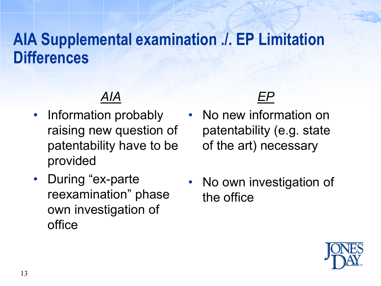## **AIA Supplemental examination ./. EP Limitation Differences**

### *AIA*

- Information probably raising new question of patentability have to be provided
- During "ex-parte reexamination" phase own investigation of office

### *EP*

- No new information on patentability (e.g. state of the art) necessary
- No own investigation of the office

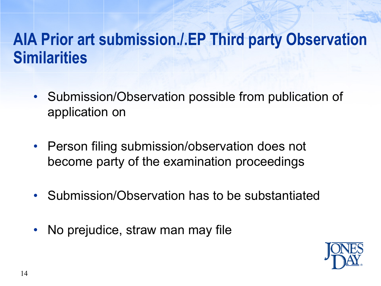## **AIA Prior art submission./.EP Third party Observation Similarities**

- Submission/Observation possible from publication of application on
- Person filing submission/observation does not become party of the examination proceedings
- Submission/Observation has to be substantiated
- No prejudice, straw man may file

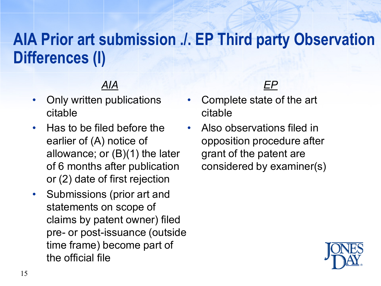## **AIA Prior art submission ./. EP Third party Observation Differences (I)**

- Only written publications citable
- Has to be filed before the earlier of (A) notice of allowance; or (B)(1) the later of 6 months after publication or (2) date of first rejection
- Submissions (prior art and statements on scope of claims by patent owner) filed pre- or post-issuance (outside time frame) become part of the official file



- Complete state of the art citable
- Also observations filed in opposition procedure after grant of the patent are considered by examiner(s)

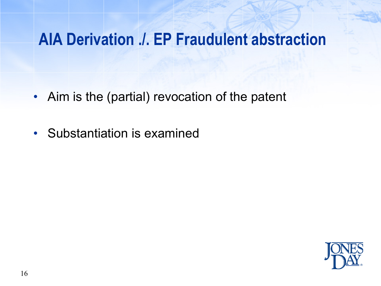### **AIA Derivation ./. EP Fraudulent abstraction**

- Aim is the (partial) revocation of the patent
- Substantiation is examined

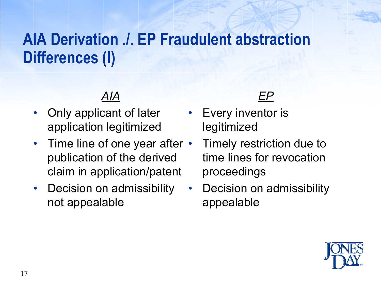## **AIA Derivation ./. EP Fraudulent abstraction Differences (I)**

- Only applicant of later application legitimized
- Time line of one year after publication of the derived claim in application/patent
- Decision on admissibility not appealable



- Every inventor is legitimized
	- Timely restriction due to time lines for revocation proceedings
- Decision on admissibility appealable

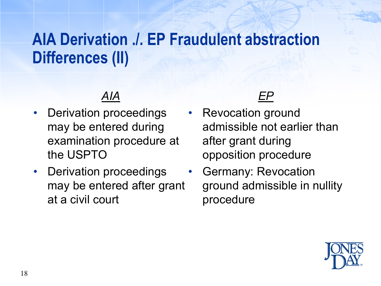## **AIA Derivation ./. EP Fraudulent abstraction Differences (II)**

- Derivation proceedings may be entered during examination procedure at the USPTO
- Derivation proceedings may be entered after grant at a civil court



- Revocation ground admissible not earlier than after grant during opposition procedure
	- Germany: Revocation ground admissible in nullity procedure

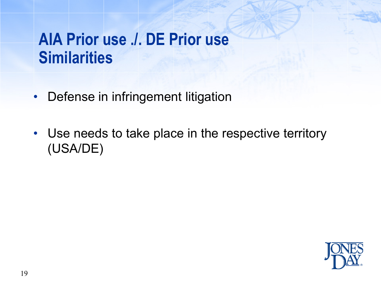## **AIA Prior use ./. DE Prior use Similarities**

- Defense in infringement litigation
- Use needs to take place in the respective territory (USA/DE)

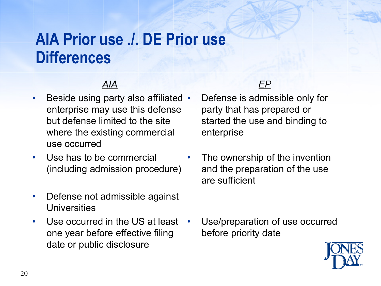### **AIA Prior use ./. DE Prior use Differences**

#### *AIA*

- Beside using party also affiliated enterprise may use this defense but defense limited to the site where the existing commercial use occurred
- Use has to be commercial (including admission procedure)
- Defense not admissible against **Universities**
- Use occurred in the US at least one year before effective filing date or public disclosure



- Defense is admissible only for party that has prepared or started the use and binding to enterprise
- The ownership of the invention and the preparation of the use are sufficient

• Use/preparation of use occurred before priority date

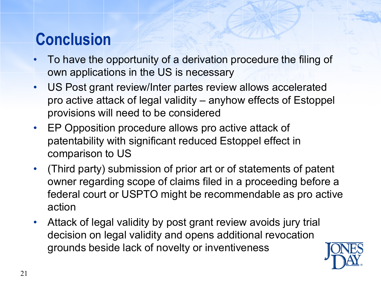## **Conclusion**

- To have the opportunity of a derivation procedure the filing of own applications in the US is necessary
- US Post grant review/Inter partes review allows accelerated pro active attack of legal validity – anyhow effects of Estoppel provisions will need to be considered
- EP Opposition procedure allows pro active attack of patentability with significant reduced Estoppel effect in comparison to US
- (Third party) submission of prior art or of statements of patent owner regarding scope of claims filed in a proceeding before a federal court or USPTO might be recommendable as pro active action
- Attack of legal validity by post grant review avoids jury trial decision on legal validity and opens additional revocation grounds beside lack of novelty or inventiveness